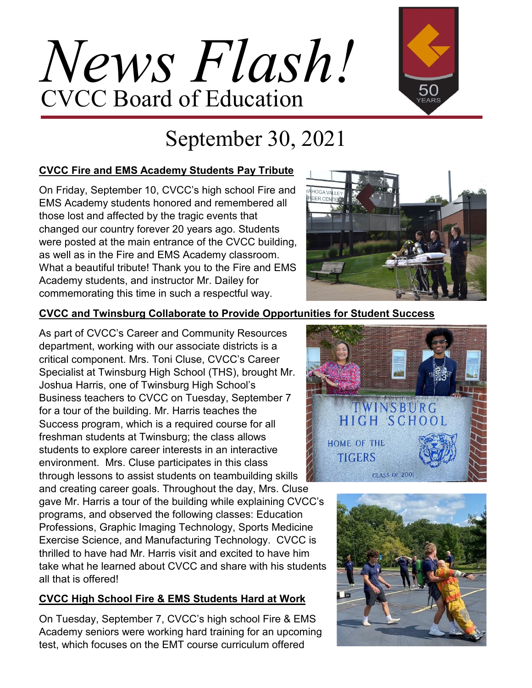# *News Flash!* CVCC Board of Education



## September 30, 2021

#### **CVCC Fire and EMS Academy Students Pay Tribute**

On Friday, September 10, CVCC's high school Fire and EMS Academy students honored and remembered all those lost and affected by the tragic events that changed our country forever 20 years ago. Students were posted at the main entrance of the CVCC building, as well as in the Fire and EMS Academy classroom. What a beautiful tribute! Thank you to the Fire and EMS Academy students, and instructor Mr. Dailey for commemorating this time in such a respectful way.



#### **CVCC and Twinsburg Collaborate to Provide Opportunities for Student Success**

As part of CVCC's Career and Community Resources department, working with our associate districts is a critical component. Mrs. Toni Cluse, CVCC's Career Specialist at Twinsburg High School (THS), brought Mr. Joshua Harris, one of Twinsburg High School's Business teachers to CVCC on Tuesday, September 7 for a tour of the building. Mr. Harris teaches the Success program, which is a required course for all freshman students at Twinsburg; the class allows students to explore career interests in an interactive environment. Mrs. Cluse participates in this class through lessons to assist students on teambuilding skills and creating career goals. Throughout the day, Mrs. Cluse gave Mr. Harris a tour of the building while explaining CVCC's programs, and observed the following classes: Education Professions, Graphic Imaging Technology, Sports Medicine

Exercise Science, and Manufacturing Technology. CVCC is thrilled to have had Mr. Harris visit and excited to have him take what he learned about CVCC and share with his students all that is offered!

#### **CVCC High School Fire & EMS Students Hard at Work**

On Tuesday, September 7, CVCC's high school Fire & EMS Academy seniors were working hard training for an upcoming test, which focuses on the EMT course curriculum offered



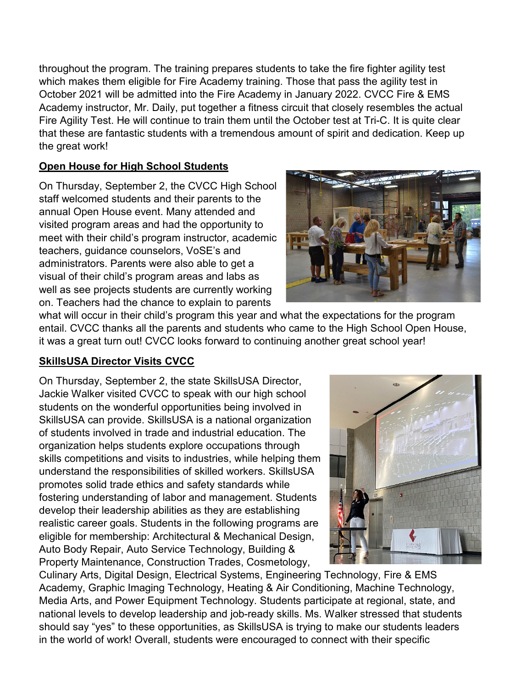throughout the program. The training prepares students to take the fire fighter agility test which makes them eligible for Fire Academy training. Those that pass the agility test in October 2021 will be admitted into the Fire Academy in January 2022. CVCC Fire & EMS Academy instructor, Mr. Daily, put together a fitness circuit that closely resembles the actual Fire Agility Test. He will continue to train them until the October test at Tri-C. It is quite clear that these are fantastic students with a tremendous amount of spirit and dedication. Keep up the great work!

#### **Open House for High School Students**

On Thursday, September 2, the CVCC High School staff welcomed students and their parents to the annual Open House event. Many attended and visited program areas and had the opportunity to meet with their child's program instructor, academic teachers, guidance counselors, VoSE's and administrators. Parents were also able to get a visual of their child's program areas and labs as well as see projects students are currently working on. Teachers had the chance to explain to parents



what will occur in their child's program this year and what the expectations for the program entail. CVCC thanks all the parents and students who came to the High School Open House, it was a great turn out! CVCC looks forward to continuing another great school year!

#### **SkillsUSA Director Visits CVCC**

On Thursday, September 2, the state SkillsUSA Director, Jackie Walker visited CVCC to speak with our high school students on the wonderful opportunities being involved in SkillsUSA can provide. SkillsUSA is a national organization of students involved in trade and industrial education. The organization helps students explore occupations through skills competitions and visits to industries, while helping them understand the responsibilities of skilled workers. SkillsUSA promotes solid trade ethics and safety standards while fostering understanding of labor and management. Students develop their leadership abilities as they are establishing realistic career goals. Students in the following programs are eligible for membership: Architectural & Mechanical Design, Auto Body Repair, Auto Service Technology, Building & Property Maintenance, Construction Trades, Cosmetology,



Culinary Arts, Digital Design, Electrical Systems, Engineering Technology, Fire & EMS Academy, Graphic Imaging Technology, Heating & Air Conditioning, Machine Technology, Media Arts, and Power Equipment Technology. Students participate at regional, state, and national levels to develop leadership and job-ready skills. Ms. Walker stressed that students should say "yes" to these opportunities, as SkillsUSA is trying to make our students leaders in the world of work! Overall, students were encouraged to connect with their specific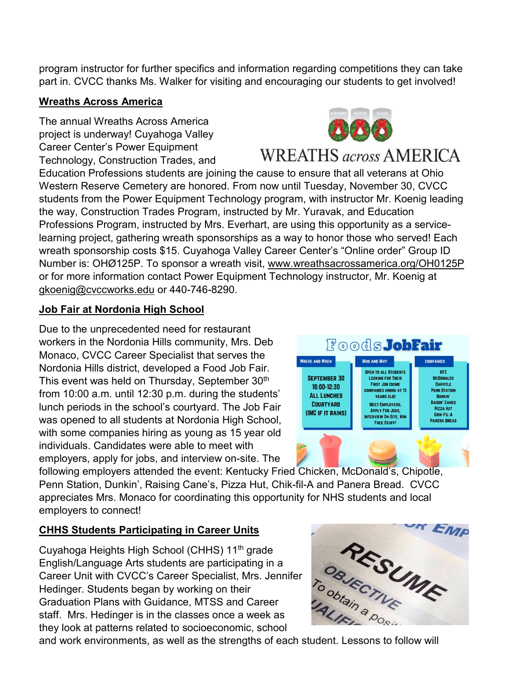program instructor for further specifics and information regarding competitions they can take part in. CVCC thanks Ms. Walker for visiting and encouraging our students to get involved!

#### **Wreaths Across America**

The annual Wreaths Across America project is underway! Cuyahoga Valley Career Center's Power Equipment Technology, Construction Trades, and



### **WREATHS** across AMERICA

Education Professions students are joining the cause to ensure that all veterans at Ohio Western Reserve Cemetery are honored. From now until Tuesday, November 30, CVCC students from the Power Equipment Technology program, with instructor Mr. Koenig leading the way, Construction Trades Program, instructed by Mr. Yuravak, and Education Professions Program, instructed by Mrs. Everhart, are using this opportunity as a servicelearning project, gathering wreath sponsorships as a way to honor those who served! Each wreath sponsorship costs \$15. Cuyahoga Valley Career Center's "Online order" Group ID Number is: OHØ125P. To sponsor a wreath visit, www.wreathsacrossamerica.org/OH0125P or for more information contact Power Equipment Technology instructor, Mr. Koenig at gkoenig@cvccworks.edu or 440-746-8290.

#### **Job Fair at Nordonia High School**

Due to the unprecedented need for restaurant workers in the Nordonia Hills community, Mrs. Deb Monaco, CVCC Career Specialist that serves the Nordonia Hills district, developed a Food Job Fair. This event was held on Thursday, September 30<sup>th</sup> from 10:00 a.m. until 12:30 p.m. during the students' lunch periods in the school's courtyard. The Job Fair was opened to all students at Nordonia High School, with some companies hiring as young as 15 year old individuals. Candidates were able to meet with employers, apply for jobs, and interview on-site. The



following employers attended the event: Kentucky Fried Chicken, McDonald's, Chipotle, Penn Station, Dunkin', Raising Cane's, Pizza Hut, Chik-fil-A and Panera Bread. CVCC appreciates Mrs. Monaco for coordinating this opportunity for NHS students and local employers to connect!

#### **CHHS Students Participating in Career Units**

Cuyahoga Heights High School (CHHS) 11<sup>th</sup> grade English/Language Arts students are participating in a Career Unit with CVCC's Career Specialist, Mrs. Jennifer Hedinger. Students began by working on their Graduation Plans with Guidance, MTSS and Career staff. Mrs. Hedinger is in the classes once a week as they look at patterns related to socioeconomic, school Cuyahoga Heights High School (CHHS) 11<sup>th</sup> grade<br>
English/Language Arts students are participating in a<br>
Career Unit with CVCC's Career Specialist, Mrs. Jennifer<br>
Hedinger. Students began by working on their<br>
Graduation Pl

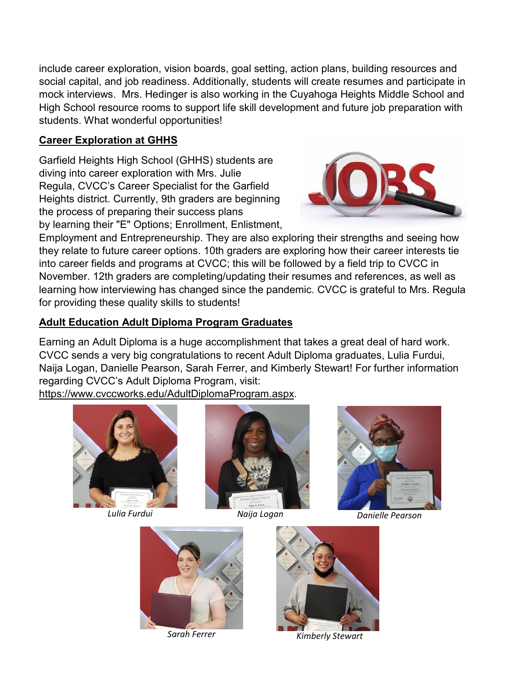include career exploration, vision boards, goal setting, action plans, building resources and social capital, and job readiness. Additionally, students will create resumes and participate in mock interviews. Mrs. Hedinger is also working in the Cuyahoga Heights Middle School and High School resource rooms to support life skill development and future job preparation with students. What wonderful opportunities!

#### **Career Exploration at GHHS**

Garfield Heights High School (GHHS) students are diving into career exploration with Mrs. Julie Regula, CVCC's Career Specialist for the Garfield Heights district. Currently, 9th graders are beginning the process of preparing their success plans by learning their "E" Options; Enrollment, Enlistment,



Employment and Entrepreneurship. They are also exploring their strengths and seeing how they relate to future career options. 10th graders are exploring how their career interests tie into career fields and programs at CVCC; this will be followed by a field trip to CVCC in November. 12th graders are completing/updating their resumes and references, as well as learning how interviewing has changed since the pandemic. CVCC is grateful to Mrs. Regula for providing these quality skills to students!

#### **Adult Education Adult Diploma Program Graduates**

Earning an Adult Diploma is a huge accomplishment that takes a great deal of hard work. CVCC sends a very big congratulations to recent Adult Diploma graduates, Lulia Furdui, Naija Logan, Danielle Pearson, Sarah Ferrer, and Kimberly Stewart! For further information regarding CVCC's Adult Diploma Program, visit:

https://www.cvccworks.edu/AdultDiplomaProgram.aspx.







*Lulia Furdui Naija Logan Danielle Pearson*